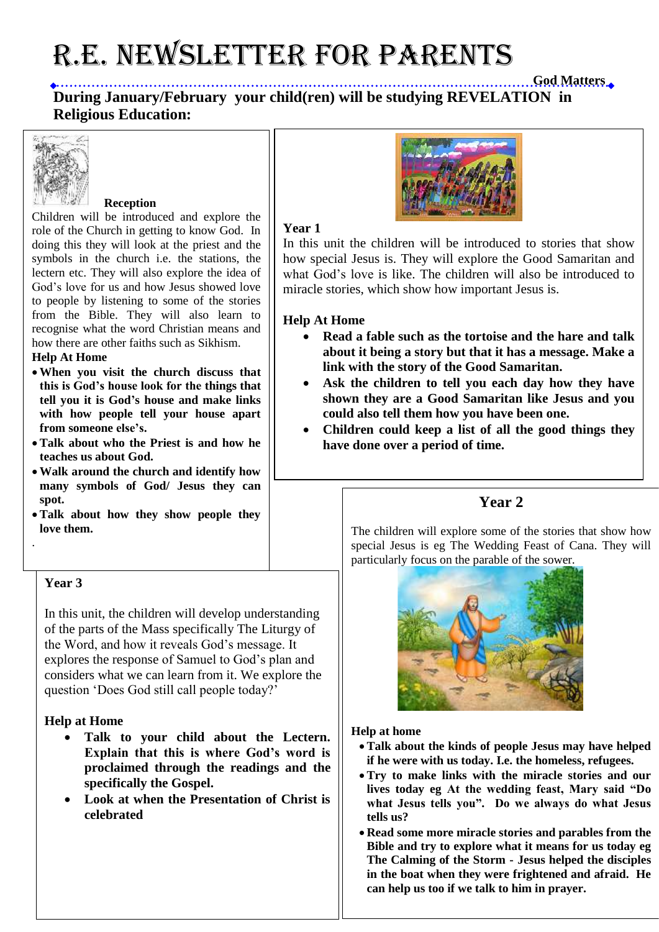# R.E. NEWSLETTER for PARENTS

**God Matters During January/February your child(ren) will be studying REVELATION in Religious Education:** 



### **Reception**

Children will be introduced and explore the role of the Church in getting to know God. In doing this they will look at the priest and the symbols in the church i.e. the stations, the lectern etc. They will also explore the idea of God's love for us and how Jesus showed love to people by listening to some of the stories from the Bible. They will also learn to recognise what the word Christian means and how there are other faiths such as Sikhism.

#### **Help At Home**

- **When you visit the church discuss that this is God's house look for the things that tell you it is God's house and make links with how people tell your house apart from someone else's.**
- **Talk about who the Priest is and how he teaches us about God.**
- **Walk around the church and identify how many symbols of God/ Jesus they can spot.**
- **Talk about how they show people they love them.**

### **Year 3**

.

In this unit, the children will develop understanding of the parts of the Mass specifically The Liturgy of the Word, and how it reveals God's message. It explores the response of Samuel to God's plan and considers what we can learn from it. We explore the question 'Does God still call people today?'

## **Help at Home**

- **Talk to your child about the Lectern. Explain that this is where God's word is proclaimed through the readings and the specifically the Gospel.**
- **Look at when the Presentation of Christ is celebrated**



### **Year 1**

In this unit the children will be introduced to stories that show how special Jesus is. They will explore the Good Samaritan and what God's love is like. The children will also be introduced to miracle stories, which show how important Jesus is.

### **Help At Home**

- **Read a fable such as the tortoise and the hare and talk about it being a story but that it has a message. Make a link with the story of the Good Samaritan.**
- **Ask the children to tell you each day how they have shown they are a Good Samaritan like Jesus and you could also tell them how you have been one.**
- **Children could keep a list of all the good things they have done over a period of time.**

# **Year 2**

The children will explore some of the stories that show how special Jesus is eg The Wedding Feast of Cana. They will particularly focus on the parable of the sower.



### **Help at home**

- **Talk about the kinds of people Jesus may have helped if he were with us today. I.e. the homeless, refugees.**
- **Try to make links with the miracle stories and our lives today eg At the wedding feast, Mary said "Do what Jesus tells you". Do we always do what Jesus tells us?**
- **Read some more miracle stories and parables from the Bible and try to explore what it means for us today eg The Calming of the Storm - Jesus helped the disciples in the boat when they were frightened and afraid. He can help us too if we talk to him in prayer.**